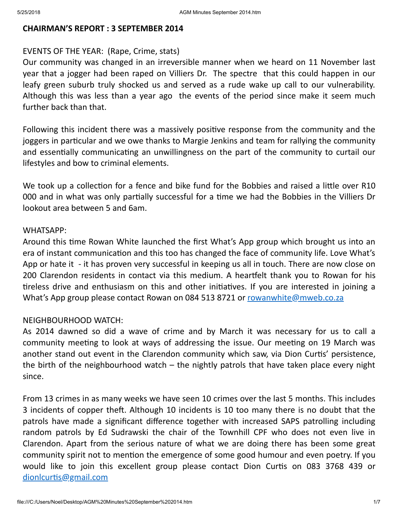### CHAIRMAN'S REPORT : 3 SEPTEMBER 2014

### EVENTS OF THE YEAR: (Rape, Crime, stats)

Our community was changed in an irreversible manner when we heard on 11 November last year that a jogger had been raped on Villiers Dr. The spectre that this could happen in our leafy green suburb truly shocked us and served as a rude wake up call to our vulnerability. Although this was less than a year ago the events of the period since make it seem much further back than that.

Following this incident there was a massively positive response from the community and the joggers in particular and we owe thanks to Margie Jenkins and team for rallying the community and essentially communicating an unwillingness on the part of the community to curtail our lifestyles and bow to criminal elements.

We took up a collection for a fence and bike fund for the Bobbies and raised a little over R10 000 and in what was only partially successful for a time we had the Bobbies in the Villiers Dr lookout area between 5 and 6am.

#### WHATSAPP:

Around this time Rowan White launched the first What's App group which brought us into an era of instant communication and this too has changed the face of community life. Love What's App or hate it - it has proven very successful in keeping us all in touch. There are now close on 200 Clarendon residents in contact via this medium. A heartfelt thank you to Rowan for his tireless drive and enthusiasm on this and other initiatives. If you are interested in joining a What's App group please contact Rowan on 084 513 8721 or [rowanwhite@mweb.co.za](mailto:rowanwhite@mweb.co.za)

### NEIGHBOURHOOD WATCH:

As 2014 dawned so did a wave of crime and by March it was necessary for us to call a community meeting to look at ways of addressing the issue. Our meeting on 19 March was another stand out event in the Clarendon community which saw, via Dion Curtis' persistence, the birth of the neighbourhood watch  $-$  the nightly patrols that have taken place every night since.

From 13 crimes in as many weeks we have seen 10 crimes over the last 5 months. This includes 3 incidents of copper theft. Although 10 incidents is 10 too many there is no doubt that the patrols have made a significant difference together with increased SAPS patrolling including random patrols by Ed Sudrawski the chair of the Townhill CPF who does not even live in Clarendon. Apart from the serious nature of what we are doing there has been some great community spirit not to mention the emergence of some good humour and even poetry. If you would like to join this excellent group please contact Dion Curtis on 083 3768 439 or dionlcurtis@gmail.com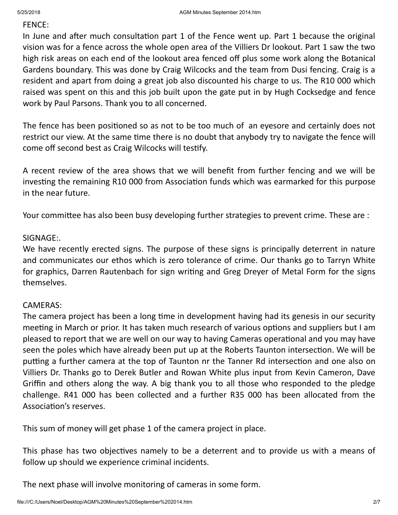### FENCE:

In June and after much consultation part 1 of the Fence went up. Part 1 because the original vision was for a fence across the whole open area of the Villiers Dr lookout. Part 1 saw the two high risk areas on each end of the lookout area fenced off plus some work along the Botanical Gardens boundary. This was done by Craig Wilcocks and the team from Dusi fencing. Craig is a resident and apart from doing a great job also discounted his charge to us. The R10 000 which raised was spent on this and this job built upon the gate put in by Hugh Cocksedge and fence work by Paul Parsons. Thank you to all concerned.

The fence has been positioned so as not to be too much of an eyesore and certainly does not restrict our view. At the same time there is no doubt that anybody try to navigate the fence will come off second best as Craig Wilcocks will tesfy.

A recent review of the area shows that we will benefit from further fencing and we will be investing the remaining R10 000 from Association funds which was earmarked for this purpose in the near future.

Your committee has also been busy developing further strategies to prevent crime. These are :

## SIGNAGE:.

We have recently erected signs. The purpose of these signs is principally deterrent in nature and communicates our ethos which is zero tolerance of crime. Our thanks go to Tarryn White for graphics, Darren Rautenbach for sign writing and Greg Dreyer of Metal Form for the signs themselves.

## CAMERAS:

The camera project has been a long time in development having had its genesis in our security meeting in March or prior. It has taken much research of various options and suppliers but I am pleased to report that we are well on our way to having Cameras operational and you may have seen the poles which have already been put up at the Roberts Taunton intersection. We will be putting a further camera at the top of Taunton nr the Tanner Rd intersection and one also on Villiers Dr. Thanks go to Derek Butler and Rowan White plus input from Kevin Cameron, Dave Griffin and others along the way. A big thank you to all those who responded to the pledge challenge. R41 000 has been collected and a further R35 000 has been allocated from the Association's reserves.

This sum of money will get phase 1 of the camera project in place.

This phase has two objectives namely to be a deterrent and to provide us with a means of follow up should we experience criminal incidents.

The next phase will involve monitoring of cameras in some form.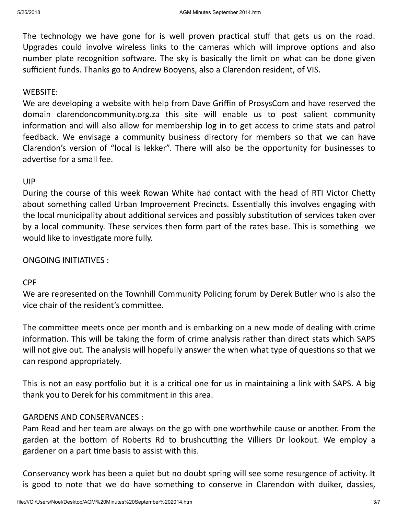The technology we have gone for is well proven practical stuff that gets us on the road. Upgrades could involve wireless links to the cameras which will improve options and also number plate recognition software. The sky is basically the limit on what can be done given sufficient funds. Thanks go to Andrew Booyens, also a Clarendon resident, of VIS.

## WEBSITE:

We are developing a website with help from Dave Griffin of ProsysCom and have reserved the domain clarendoncommunity.org.za this site will enable us to post salient community information and will also allow for membership log in to get access to crime stats and patrol feedback. We envisage a community business directory for members so that we can have Clarendon's version of "local is lekker". There will also be the opportunity for businesses to advertise for a small fee.

## UIP

During the course of this week Rowan White had contact with the head of RTI Victor Chetty about something called Urban Improvement Precincts. Essentially this involves engaging with the local municipality about additional services and possibly substitution of services taken over by a local community. These services then form part of the rates base. This is something we would like to investigate more fully.

# ONGOING INITIATIVES :

# CPF

We are represented on the Townhill Community Policing forum by Derek Butler who is also the vice chair of the resident's committee.

The committee meets once per month and is embarking on a new mode of dealing with crime information. This will be taking the form of crime analysis rather than direct stats which SAPS will not give out. The analysis will hopefully answer the when what type of questions so that we can respond appropriately.

This is not an easy portfolio but it is a critical one for us in maintaining a link with SAPS. A big thank you to Derek for his commitment in this area.

# GARDENS AND CONSERVANCES :

Pam Read and her team are always on the go with one worthwhile cause or another. From the garden at the bottom of Roberts Rd to brushcutting the Villiers Dr lookout. We employ a gardener on a part time basis to assist with this.

Conservancy work has been a quiet but no doubt spring will see some resurgence of activity. It is good to note that we do have something to conserve in Clarendon with duiker, dassies,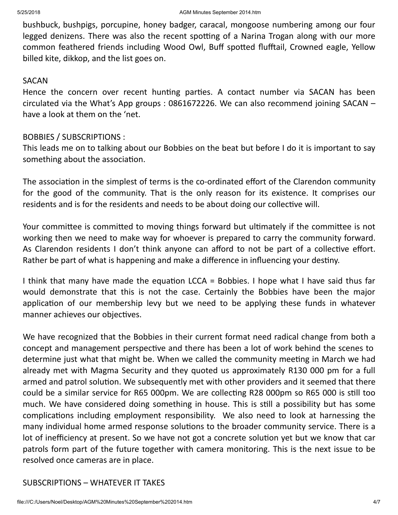bushbuck, bushpigs, porcupine, honey badger, caracal, mongoose numbering among our four legged denizens. There was also the recent spotting of a Narina Trogan along with our more common feathered friends including Wood Owl, Buff spotted flufftail, Crowned eagle, Yellow billed kite, dikkop, and the list goes on.

### SACAN

Hence the concern over recent hunting parties. A contact number via SACAN has been circulated via the What's App groups : 0861672226. We can also recommend joining SACAN – have a look at them on the 'net.

### BOBBIES / SUBSCRIPTIONS :

This leads me on to talking about our Bobbies on the beat but before I do it is important to say something about the association.

The association in the simplest of terms is the co-ordinated effort of the Clarendon community for the good of the community. That is the only reason for its existence. It comprises our residents and is for the residents and needs to be about doing our collective will.

Your committee is committed to moving things forward but ultimately if the committee is not working then we need to make way for whoever is prepared to carry the community forward. As Clarendon residents I don't think anyone can afford to not be part of a collective effort. Rather be part of what is happening and make a difference in influencing your destiny.

I think that many have made the equation LCCA = Bobbies. I hope what I have said thus far would demonstrate that this is not the case. Certainly the Bobbies have been the major application of our membership levy but we need to be applying these funds in whatever manner achieves our objectives.

We have recognized that the Bobbies in their current format need radical change from both a concept and management perspective and there has been a lot of work behind the scenes to determine just what that might be. When we called the community meeting in March we had already met with Magma Security and they quoted us approximately R130 000 pm for a full armed and patrol solution. We subsequently met with other providers and it seemed that there could be a similar service for R65 000pm. We are collecting R28 000pm so R65 000 is still too much. We have considered doing something in house. This is still a possibility but has some complications including employment responsibility. We also need to look at harnessing the many individual home armed response solutions to the broader community service. There is a lot of inefficiency at present. So we have not got a concrete solution yet but we know that car patrols form part of the future together with camera monitoring. This is the next issue to be resolved once cameras are in place.

### SUBSCRIPTIONS – WHATEVER IT TAKES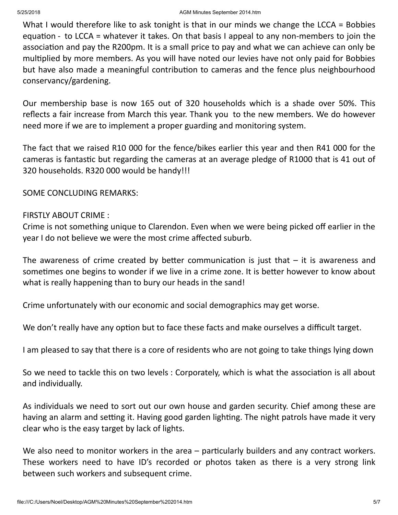What I would therefore like to ask tonight is that in our minds we change the LCCA = Bobbies equation - to LCCA = whatever it takes. On that basis I appeal to any non-members to join the association and pay the R200pm. It is a small price to pay and what we can achieve can only be multiplied by more members. As you will have noted our levies have not only paid for Bobbies but have also made a meaningful contribution to cameras and the fence plus neighbourhood conservancy/gardening.

Our membership base is now 165 out of 320 households which is a shade over 50%. This reflects a fair increase from March this year. Thank you to the new members. We do however need more if we are to implement a proper guarding and monitoring system.

The fact that we raised R10 000 for the fence/bikes earlier this year and then R41 000 for the cameras is fantastic but regarding the cameras at an average pledge of R1000 that is 41 out of 320 households. R320 000 would be handy!!!

SOME CONCLUDING REMARKS:

## FIRSTLY ABOUT CRIME :

Crime is not something unique to Clarendon. Even when we were being picked off earlier in the year I do not believe we were the most crime affected suburb.

The awareness of crime created by better communication is just that  $-$  it is awareness and sometimes one begins to wonder if we live in a crime zone. It is better however to know about what is really happening than to bury our heads in the sand!

Crime unfortunately with our economic and social demographics may get worse.

We don't really have any option but to face these facts and make ourselves a difficult target.

I am pleased to say that there is a core of residents who are not going to take things lying down

So we need to tackle this on two levels : Corporately, which is what the association is all about and individually.

As individuals we need to sort out our own house and garden security. Chief among these are having an alarm and setting it. Having good garden lighting. The night patrols have made it very clear who is the easy target by lack of lights.

We also need to monitor workers in the area  $-$  particularly builders and any contract workers. These workers need to have ID's recorded or photos taken as there is a very strong link between such workers and subsequent crime.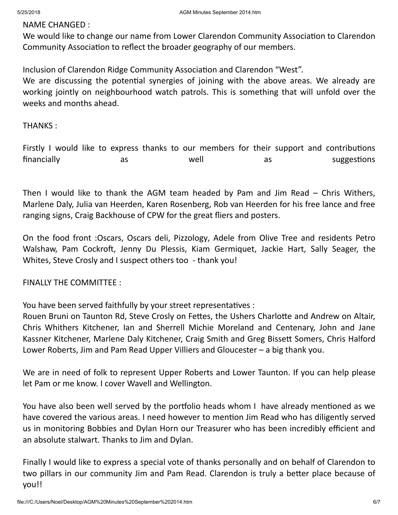## NAME CHANGED :

We would like to change our name from Lower Clarendon Community Association to Clarendon Community Association to reflect the broader geography of our members.

Inclusion of Clarendon Ridge Community Association and Clarendon "West".

We are discussing the potential synergies of joining with the above areas. We already are working jointly on neighbourhood watch patrols. This is something that will unfold over the weeks and months ahead.

THANKS :

Firstly I would like to express thanks to our members for their support and contributions financially as as well as suggestions

Then I would like to thank the AGM team headed by Pam and Jim Read – Chris Withers, Marlene Daly, Julia van Heerden, Karen Rosenberg, Rob van Heerden for his free lance and free ranging signs, Craig Backhouse of CPW for the great fliers and posters.

On the food front :Oscars, Oscars deli, Pizzology, Adele from Olive Tree and residents Petro Walshaw, Pam Cockroft, Jenny Du Plessis, Kiam Germiquet, Jackie Hart, Sally Seager, the Whites, Steve Crosly and I suspect others too - thank you!

FINALLY THE COMMITTEE :

You have been served faithfully by your street representatives :

Rouen Bruni on Taunton Rd, Steve Crosly on Fettes, the Ushers Charlotte and Andrew on Altair, Chris Whithers Kitchener, Ian and Sherrell Michie Moreland and Centenary, John and Jane Kassner Kitchener, Marlene Daly Kitchener, Craig Smith and Greg Bissett Somers, Chris Halford Lower Roberts, Jim and Pam Read Upper Villiers and Gloucester – a big thank you.

We are in need of folk to represent Upper Roberts and Lower Taunton. If you can help please let Pam or me know. I cover Wavell and Wellington.

You have also been well served by the portfolio heads whom I have already mentioned as we have covered the various areas. I need however to mention Jim Read who has diligently served us in monitoring Bobbies and Dylan Horn our Treasurer who has been incredibly efficient and an absolute stalwart. Thanks to Jim and Dylan.

Finally I would like to express a special vote of thanks personally and on behalf of Clarendon to two pillars in our community Jim and Pam Read. Clarendon is truly a better place because of you!!